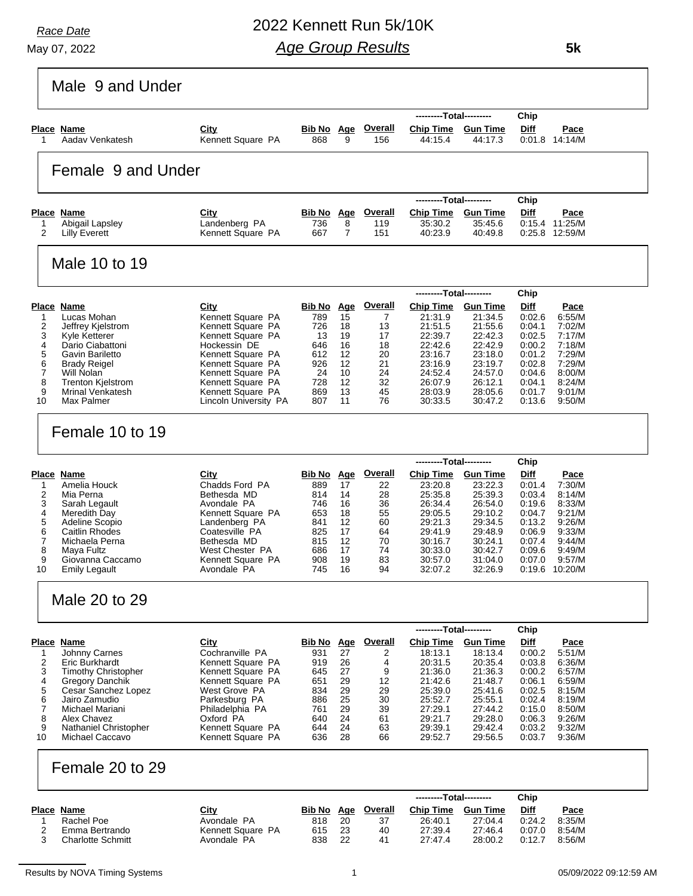May 07, 2022 *Race Date*

# 2022 Kennett Run 5k/10K *Age Group Results*

 **5k**

|                                                                                                                                                                                                                        |                                                                                                                                                                            |                                                                    |                                                                         |                                                          | ---------Total---------                                                                                    |                                                                                                            | Chip                                                                                   |                                                                                                          |
|------------------------------------------------------------------------------------------------------------------------------------------------------------------------------------------------------------------------|----------------------------------------------------------------------------------------------------------------------------------------------------------------------------|--------------------------------------------------------------------|-------------------------------------------------------------------------|----------------------------------------------------------|------------------------------------------------------------------------------------------------------------|------------------------------------------------------------------------------------------------------------|----------------------------------------------------------------------------------------|----------------------------------------------------------------------------------------------------------|
| Place Name                                                                                                                                                                                                             | City                                                                                                                                                                       | <b>Bib No Age</b>                                                  |                                                                         | <b>Overall</b>                                           | <b>Chip Time Gun Time</b>                                                                                  |                                                                                                            | Diff                                                                                   | <u>Pace</u>                                                                                              |
| Aadav Venkatesh<br>1                                                                                                                                                                                                   | Kennett Square PA                                                                                                                                                          | 868                                                                | 9                                                                       | 156                                                      | 44:15.4                                                                                                    | 44:17.3                                                                                                    |                                                                                        | 0:01.8 14:14/M                                                                                           |
| Female 9 and Under                                                                                                                                                                                                     |                                                                                                                                                                            |                                                                    |                                                                         |                                                          |                                                                                                            |                                                                                                            |                                                                                        |                                                                                                          |
|                                                                                                                                                                                                                        |                                                                                                                                                                            |                                                                    |                                                                         |                                                          | ---------Total---------                                                                                    |                                                                                                            | Chip                                                                                   |                                                                                                          |
| <b>Place Name</b><br>Abigail Lapsley<br>1                                                                                                                                                                              | City<br>Landenberg PA                                                                                                                                                      | <b>Bib No</b> Age<br>736                                           | 8                                                                       | <b>Overall</b><br>119                                    | Chip Time Gun Time<br>35:30.2                                                                              | 35:45.6                                                                                                    | Diff                                                                                   | <b>Pace</b><br>0:15.4 11:25/M                                                                            |
| 2<br><b>Lilly Everett</b>                                                                                                                                                                                              | Kennett Square PA                                                                                                                                                          | 667                                                                | $\overline{7}$                                                          | 151                                                      | 40:23.9                                                                                                    | 40:49.8                                                                                                    |                                                                                        | 0:25.8 12:59/M                                                                                           |
| Male 10 to 19                                                                                                                                                                                                          |                                                                                                                                                                            |                                                                    |                                                                         |                                                          |                                                                                                            |                                                                                                            |                                                                                        |                                                                                                          |
|                                                                                                                                                                                                                        |                                                                                                                                                                            |                                                                    |                                                                         |                                                          | ---------Total---------                                                                                    |                                                                                                            | Chip                                                                                   |                                                                                                          |
| Place Name                                                                                                                                                                                                             | City                                                                                                                                                                       | <b>Bib No Age</b>                                                  |                                                                         | Overall                                                  | <b>Chip Time</b>                                                                                           | <b>Gun Time</b>                                                                                            | <b>Diff</b>                                                                            | <u>Pace</u>                                                                                              |
| Lucas Mohan<br>1<br>2<br>Jeffrey Kjelstrom                                                                                                                                                                             | Kennett Square PA<br>Kennett Square PA                                                                                                                                     | 789<br>726                                                         | 15<br>18                                                                | 7<br>13                                                  | 21:31.9<br>21:51.5                                                                                         | 21:34.5<br>21:55.6                                                                                         | 0:02.6<br>0:04.1                                                                       | 6:55/M<br>7:02/M                                                                                         |
| 3<br>Kyle Ketterer                                                                                                                                                                                                     | Kennett Square PA                                                                                                                                                          | 13                                                                 | 19                                                                      | 17                                                       | 22:39.7                                                                                                    | 22:42.3                                                                                                    | 0:02.5                                                                                 | 7:17/M                                                                                                   |
| 4<br>Dario Ciabattoni<br>5<br>Gavin Bariletto                                                                                                                                                                          | Hockessin DE<br>Kennett Square PA                                                                                                                                          | 646<br>612                                                         | 16<br>12                                                                | 18<br>20                                                 | 22:42.6<br>23:16.7                                                                                         | 22:42.9<br>23:18.0                                                                                         | 0:00.2<br>0:01.2                                                                       | 7:18/M<br>7:29/M                                                                                         |
| 6<br><b>Brady Reigel</b>                                                                                                                                                                                               | Kennett Square PA                                                                                                                                                          | 926                                                                | 12                                                                      | 21                                                       | 23:16.9                                                                                                    | 23:19.7                                                                                                    | 0:02.8                                                                                 | 7:29/M                                                                                                   |
| $\overline{7}$<br>Will Nolan                                                                                                                                                                                           | Kennett Square PA                                                                                                                                                          | -24                                                                | 10                                                                      | 24                                                       | 24:52.4                                                                                                    | 24:57.0                                                                                                    | 0:04.6                                                                                 | 8:00/M                                                                                                   |
| 8<br><b>Trenton Kielstrom</b><br>9<br><b>Mrinal Venkatesh</b>                                                                                                                                                          | Kennett Square PA<br>Kennett Square PA                                                                                                                                     | 728<br>869                                                         | 12<br>13                                                                | 32<br>45                                                 | 26:07.9<br>28:03.9                                                                                         | 26:12.1<br>28:05.6                                                                                         | 0:04.1<br>0:01.7                                                                       | 8:24/M<br>9:01/M                                                                                         |
| 10<br>Max Palmer                                                                                                                                                                                                       | Lincoln University PA                                                                                                                                                      | 807                                                                | 11                                                                      | 76                                                       | 30:33.5                                                                                                    | 30:47.2                                                                                                    | 0:13.6                                                                                 | 9:50/M                                                                                                   |
| Amelia Houck<br>1<br>2<br>Mia Perna<br>3<br>Sarah Legault<br>4<br>Meredith Day<br>5<br>Adeline Scopio<br>6<br>Caitlin Rhodes<br>7<br>Michaela Perna<br>8<br>Maya Fultz<br>9<br>Giovanna Caccamo<br>10<br>Emily Legault | Chadds Ford PA<br>Bethesda MD<br>Avondale PA<br>Kennett Square PA<br>Landenberg PA<br>Coatesville PA<br>Bethesda MD<br>West Chester PA<br>Kennett Square PA<br>Avondale PA | 889<br>814<br>746<br>653<br>841<br>825<br>815<br>686<br>908<br>745 | 17<br>14<br>16<br>18<br>12<br>17<br>$12 \overline{ }$<br>17<br>19<br>16 | 22<br>28<br>36<br>55<br>60<br>64<br>70<br>74<br>83<br>94 | 23:20.8<br>25:35.8<br>26:34.4<br>29:05.5<br>29:21.3<br>29:41.9<br>30:16.7<br>30:33.0<br>30:57.0<br>32:07.2 | 23:22.3<br>25:39.3<br>26:54.0<br>29:10.2<br>29:34.5<br>29:48.9<br>30:24.1<br>30:42.7<br>31:04.0<br>32:26.9 | 0:01.4<br>0:03.4<br>0.19.6<br>0:04.7<br>0:13.2<br>0:06.9<br>0:07.4<br>0:09.6<br>0:07.0 | 7:30/M<br>8:14/M<br>8:33/M<br>9:21/M<br>9:26/M<br>9:33/M<br>9.44/M<br>9:49/M<br>9:57/M<br>0:19.6 10:20/M |
| Male 20 to 29                                                                                                                                                                                                          |                                                                                                                                                                            |                                                                    |                                                                         |                                                          |                                                                                                            |                                                                                                            |                                                                                        |                                                                                                          |
| Place Name                                                                                                                                                                                                             | <b>City</b>                                                                                                                                                                | Bib No Age                                                         |                                                                         | <u>Overall</u>                                           | ---------Total---------<br><b>Chip Time</b>                                                                | <b>Gun Time</b>                                                                                            | Chip<br><b>Diff</b>                                                                    | Pace                                                                                                     |
| <b>Johnny Carnes</b><br>1                                                                                                                                                                                              | Cochranville PA                                                                                                                                                            | 931                                                                | 27                                                                      | 2                                                        | 18:13.1                                                                                                    | 18:13.4                                                                                                    | 0:00.2                                                                                 | 5:51/M                                                                                                   |
| 2<br>Eric Burkhardt                                                                                                                                                                                                    | Kennett Square PA                                                                                                                                                          | 919                                                                | 26                                                                      | 4                                                        | 20:31.5                                                                                                    | 20:35.4                                                                                                    | 0:03.8                                                                                 | 6:36/M                                                                                                   |
| <b>Timothy Christopher</b><br>3<br>4<br><b>Gregory Danchik</b>                                                                                                                                                         | Kennett Square PA<br>Kennett Square PA                                                                                                                                     | 645<br>651                                                         | 27<br>29                                                                | 9<br>12                                                  | 21:36.0<br>21:42.6                                                                                         | 21:36.3<br>21:48.7                                                                                         | 0:00.2<br>0:06.1                                                                       | 6:57/M<br>6:59/M                                                                                         |
| 5<br>Cesar Sanchez Lopez                                                                                                                                                                                               | West Grove PA                                                                                                                                                              | 834                                                                | 29                                                                      | 29                                                       | 25:39.0                                                                                                    | 25:41.6                                                                                                    | 0:02.5                                                                                 | 8:15/M                                                                                                   |
| 6<br>Jairo Zamudio<br>7<br>Michael Mariani                                                                                                                                                                             | Parkesburg PA<br>Philadelphia PA                                                                                                                                           | 886                                                                | 25<br>29                                                                | 30                                                       | 25:52.7<br>27:29.1                                                                                         | 25:55.1<br>27:44.2                                                                                         | 0.02.4<br>0:15.0                                                                       | 8:19/M<br>8:50/M                                                                                         |
| 8<br>Alex Chavez                                                                                                                                                                                                       | Oxford PA                                                                                                                                                                  | 761<br>640                                                         | 24                                                                      | 39<br>61                                                 | 29:21.7                                                                                                    | 29:28.0                                                                                                    | 0:06.3                                                                                 | 9:26/M                                                                                                   |
|                                                                                                                                                                                                                        | Kennett Square PA                                                                                                                                                          | 644                                                                | 24                                                                      | 63                                                       | 29:39.1                                                                                                    | 29:42.4                                                                                                    | 0:03.2                                                                                 | 9:32/M                                                                                                   |
| 9<br>Nathaniel Christopher                                                                                                                                                                                             |                                                                                                                                                                            | 636                                                                | 28                                                                      | 66                                                       | 29:52.7                                                                                                    | 29.56.5                                                                                                    | 0:03.7                                                                                 | 9:36/M                                                                                                   |
| 10<br>Michael Caccavo                                                                                                                                                                                                  | Kennett Square PA                                                                                                                                                          |                                                                    |                                                                         |                                                          |                                                                                                            |                                                                                                            |                                                                                        |                                                                                                          |
| Female 20 to 29                                                                                                                                                                                                        |                                                                                                                                                                            |                                                                    |                                                                         |                                                          |                                                                                                            |                                                                                                            |                                                                                        |                                                                                                          |
|                                                                                                                                                                                                                        |                                                                                                                                                                            |                                                                    |                                                                         |                                                          | ---------Total---------                                                                                    |                                                                                                            | Chip                                                                                   |                                                                                                          |
| <b>Place Name</b>                                                                                                                                                                                                      | City                                                                                                                                                                       | <b>Bib No</b> Age                                                  |                                                                         | <b>Overall</b>                                           | Chip Time Gun Time                                                                                         |                                                                                                            | <b>Diff</b>                                                                            | Pace                                                                                                     |
| Rachel Poe<br>1<br>2<br>Emma Bertrando                                                                                                                                                                                 | Avondale PA<br>Kennett Square PA                                                                                                                                           | 818<br>615                                                         | 20<br>23                                                                | 37<br>40                                                 | 26:40.1<br>27:39.4                                                                                         | 27:04.4<br>27:46.4                                                                                         | 0:24.2<br>0.07.0                                                                       | 8:35/M<br>8:54/M                                                                                         |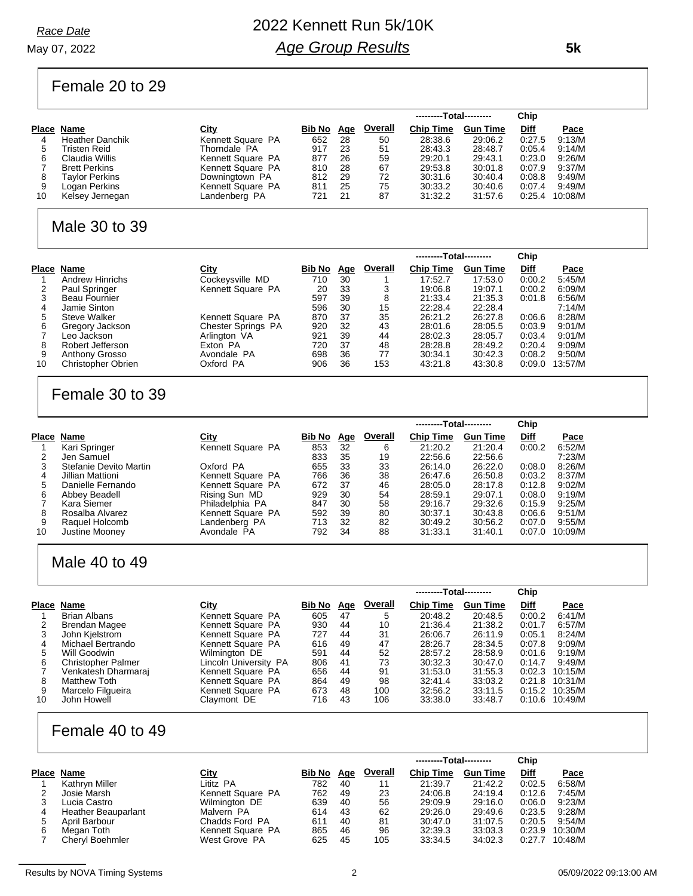#### May 07, 2022 *Race Date*

# 2022 Kennett Run 5k/10K *Age Group Results*

Female 20 to 29

|    |                        |                   |        |            |                | ---------Total--------- |                 | Chip   |         |
|----|------------------------|-------------------|--------|------------|----------------|-------------------------|-----------------|--------|---------|
|    | Place Name             | <u>City</u>       | Bib No | <u>Age</u> | <b>Overall</b> | <b>Chip Time</b>        | <b>Gun Time</b> | Diff   | Pace    |
| 4  | <b>Heather Danchik</b> | Kennett Square PA | 652    | 28         | 50             | 28:38.6                 | 29:06.2         | 0:27.5 | 9:13/M  |
| 5  | Tristen Reid           | Thorndale PA      | 917    | 23         | 51             | 28:43.3                 | 28:48.7         | 0:05.4 | 9:14/M  |
| 6  | Claudia Willis         | Kennett Square PA | 877    | 26         | 59             | 29:20.1                 | 29:43.1         | 0:23.0 | 9:26/M  |
|    | <b>Brett Perkins</b>   | Kennett Square PA | 810    | 28         | 67             | 29:53.8                 | 30:01.8         | 0:07.9 | 9:37/M  |
| 8  | Taylor Perkins         | Downingtown PA    | 812    | 29         | 72             | 30:31.6                 | 30:40.4         | 0:08.8 | 9:49/M  |
| 9  | Logan Perkins          | Kennett Square PA | 811    | 25         | 75             | 30:33.2                 | 30:40.6         | 0:07.4 | 9:49/M  |
| 10 | Kelsey Jernegan        | Landenberg PA     | 721    | 21         | 87             | 31:32.2                 | 31:57.6         | 0:25.4 | 10:08/M |
|    |                        |                   |        |            |                |                         |                 |        |         |

#### Male 30 to 39

|    |                           |                           |        |            |         | ---------Total--------- |                 | Chip        |         |
|----|---------------------------|---------------------------|--------|------------|---------|-------------------------|-----------------|-------------|---------|
|    | Place Name                | <b>City</b>               | Bib No | <u>Age</u> | Overall | <b>Chip Time</b>        | <b>Gun Time</b> | <b>Diff</b> | Pace    |
|    | <b>Andrew Hinrichs</b>    | Cockeysville MD           | 710    | 30         |         | 17:52.7                 | 17:53.0         | 0:00.2      | 5:45/M  |
|    | Paul Springer             | Kennett Square PA         | 20     | 33         | 3       | 19:06.8                 | 19:07.1         | 0:00.2      | 6.09/M  |
|    | <b>Beau Fournier</b>      |                           | 597    | 39         | 8       | 21:33.4                 | 21:35.3         | 0.01.8      | 6:56/M  |
| 4  | Jamie Sinton              |                           | 596    | 30         | 15      | 22:28.4                 | 22:28.4         |             | 7:14/M  |
| 5  | <b>Steve Walker</b>       | Kennett Square PA         | 870    | 37         | 35      | 26:21.2                 | 26:27.8         | 0.06.6      | 8:28/M  |
| 6  | Gregory Jackson           | <b>Chester Springs PA</b> | 920    | 32         | 43      | 28:01.6                 | 28:05.5         | 0.03.9      | 9:01/M  |
|    | Leo Jackson               | Arlington VA              | 921    | 39         | 44      | 28:02.3                 | 28:05.7         | 0.03.4      | 9:01/M  |
| 8  | Robert Jefferson          | Exton PA                  | 720    | 37         | 48      | 28:28.8                 | 28:49.2         | 0.20.4      | 9:09/M  |
| 9  | Anthony Grosso            | Avondale PA               | 698    | 36         | 77      | 30:34.1                 | 30:42.3         | 0:08.2      | 9:50/M  |
| 10 | <b>Christopher Obrien</b> | Oxford PA                 | 906    | 36         | 153     | 43.21.8                 | 43:30.8         | 0.09.0      | 13:57/M |

### Female 30 to 39

|       |                        |                   |        |     |                | ---------Total--------- |                 | Chip        |         |
|-------|------------------------|-------------------|--------|-----|----------------|-------------------------|-----------------|-------------|---------|
| Place | Name                   | <u>City</u>       | Bib No | Age | <b>Overall</b> | <b>Chip Time</b>        | <b>Gun Time</b> | <b>Diff</b> | Pace    |
|       | Kari Springer          | Kennett Square PA | 853    | 32  | 6              | 21:20.2                 | 21:20.4         | 0:00.2      | 6:52/M  |
| 2     | Jen Samuel             |                   | 833    | 35  | 19             | 22:56.6                 | 22:56.6         |             | 7:23/M  |
| 3     | Stefanie Devito Martin | Oxford PA         | 655    | 33  | 33             | 26:14.0                 | 26:22.0         | 0.08.0      | 8:26/M  |
| 4     | Jillian Mattioni       | Kennett Square PA | 766    | 36  | 38             | 26:47.6                 | 26:50.8         | 0:03.2      | 8:37/M  |
| 5     | Danielle Fernando      | Kennett Square PA | 672    | 37  | 46             | 28:05.0                 | 28:17.8         | 0:12.8      | 9:02/M  |
| 6     | Abbey Beadell          | Rising Sun MD     | 929    | 30  | 54             | 28:59.1                 | 29:07.1         | 0.08.0      | 9:19/M  |
|       | Kara Siemer            | Philadelphia PA   | 847    | 30  | 58             | 29:16.7                 | 29:32.6         | 0:15.9      | 9:25/M  |
| 8     | Rosalba Alvarez        | Kennett Square PA | 592    | 39  | 80             | 30:37.1                 | 30:43.8         | 0.06.6      | 9:51/M  |
| 9     | Raquel Holcomb         | Landenberg PA     | 713    | 32  | 82             | 30:49.2                 | 30:56.2         | 0:07.0      | 9:55/M  |
| 10    | Justine Moonev         | Avondale PA       | 792    | 34  | 88             | 31:33.1                 | 31:40.1         | 0:07.0      | 10:09/M |

### Male 40 to 49

|    |                           |                       |        |     |         | ---------Total--------- |                 | Chip        |                  |
|----|---------------------------|-----------------------|--------|-----|---------|-------------------------|-----------------|-------------|------------------|
|    | Place Name                | City                  | Bib No | Age | Overall | <b>Chip Time</b>        | <b>Gun Time</b> | <b>Diff</b> | Pace             |
|    | Brian Albans              | Kennett Square PA     | 605    | 47  | 5       | 20:48.2                 | 20:48.5         | 0:00.2      | 6:41/M           |
|    | Brendan Magee             | Kennett Square PA     | 930    | 44  | 10      | 21:36.4                 | 21:38.2         | 0:01.7      | 6:57/M           |
|    | John Kjelstrom            | Kennett Square PA     | 727    | 44  | 31      | 26:06.7                 | 26.11.9         | 0:05.1      | 8:24/M           |
| 4  | Michael Bertrando         | Kennett Square PA     | 616    | 49  | 47      | 28:26.7                 | 28:34.5         | 0.07.8      | 9:09/M           |
| 5  | Will Goodwin              | Wilmington DE         | 591    | 44  | 52      | 28:57.2                 | 28:58.9         | 0:01.6      | 9.19/M           |
| 6  | <b>Christopher Palmer</b> | Lincoln University PA | 806    | 41  | 73      | 30:32.3                 | 30:47.0         | 0:14.7      | 9.49/M           |
|    | Venkatesh Dharmaraj       | Kennett Square PA     | 656    | 44  | 91      | 31:53.0                 | 31:55.3         | 0:02.3      | 10:15/M          |
| 8  | <b>Matthew Toth</b>       | Kennett Square PA     | 864    | 49  | 98      | 32:41.4                 | 33.03.2         |             | $0:21.8$ 10:31/M |
| 9  | Marcelo Filgueira         | Kennett Square PA     | 673    | 48  | 100     | 32:56.2                 | 33:11.5         |             | $0:15.2$ 10:35/M |
| 10 | John Howell               | Claymont DE           | 716    | 43  | 106     | 33:38.0                 | 33:48.7         | 0:10.6      | 10:49/M          |

#### Female 40 to 49

|   |                     |                   |        |            |                | ---------Total--------- |                 | Chip        |         |
|---|---------------------|-------------------|--------|------------|----------------|-------------------------|-----------------|-------------|---------|
|   | Place Name          | City              | Bib No | <u>Age</u> | <b>Overall</b> | <b>Chip Time</b>        | <b>Gun Time</b> | <b>Diff</b> | Pace    |
|   | Kathryn Miller      | Lititz PA         | 782    | 40         | 11             | 21:39.7                 | 21:42.2         | 0:02.5      | 6:58/M  |
|   | Josie Marsh         | Kennett Square PA | 762    | 49         | 23             | 24:06.8                 | 24:19.4         | 0:12.6      | 7:45/M  |
| 3 | Lucia Castro        | Wilmington DE     | 639    | 40         | 56             | 29:09.9                 | 29:16.0         | 0.06.0      | 9:23/M  |
|   | Heather Beauparlant | Malvern PA        | 614    | 43         | 62             | 29:26.0                 | 29:49.6         | 0.23.5      | 9:28/M  |
|   | April Barbour       | Chadds Ford PA    | 611    | 40         | 81             | 30:47.0                 | 31:07.5         | 0:20.5      | 9:54/M  |
|   | Megan Toth          | Kennett Square PA | 865    | 46         | 96             | 32:39.3                 | 33:03.3         | 0.23.9      | 10:30/M |
|   | Cheryl Boehmler     | West Grove PA     | 625    | 45         | 105            | 33:34.5                 | 34:02.3         | 0:27.7      | 10:48/M |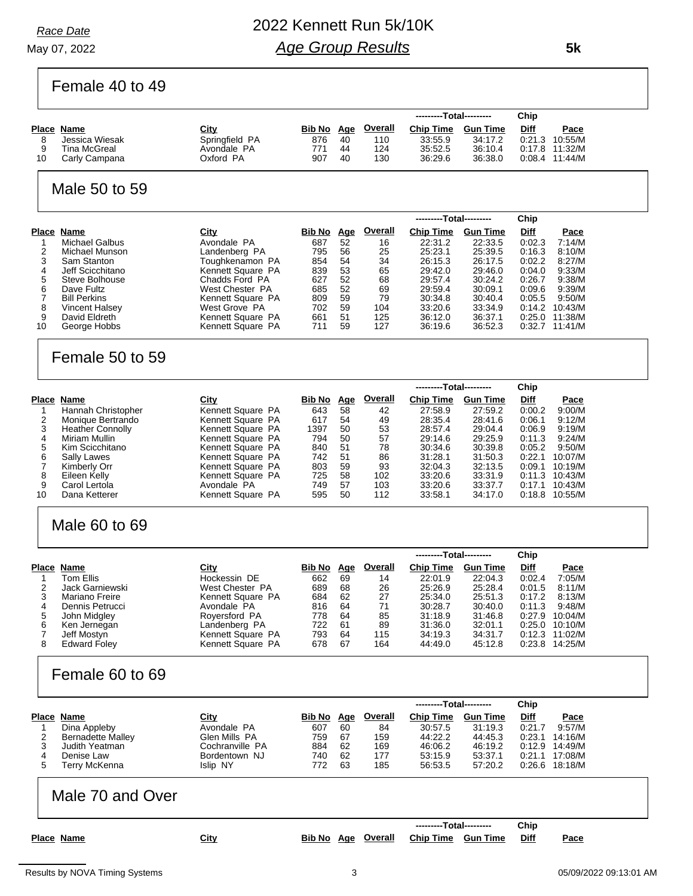May 07, 2022 *Race Date*

# 2022 Kennett Run 5k/10K *Age Group Results*

Female 40 to 49

| 8<br>9<br>10                                                          | Place Name<br>Jessica Wiesak<br>Tina McGreal<br>Carly Campana                                                                                                                                                    | <u>City</u><br>Springfield PA<br>Avondale PA<br>Oxford PA                                                                                                                                                        | <u>Bib No Age</u><br>876<br>771<br>907                                              | 40<br>44<br>40                                                  | <b>Overall</b><br>110<br>124<br>130                                           | <b>Chip Time</b><br>33:55.9<br>35:52.5<br>36:29.6                                                                              | <b>Gun Time</b><br>34:17.2<br>36:10.4<br>36:38.0                                                                              | <u>Diff</u>                                                                          | <u>Pace</u><br>0:21.3 10:55/M<br>0:17.8 11:32/M<br>$0:08.4$ 11:44/M                                                                             |  |
|-----------------------------------------------------------------------|------------------------------------------------------------------------------------------------------------------------------------------------------------------------------------------------------------------|------------------------------------------------------------------------------------------------------------------------------------------------------------------------------------------------------------------|-------------------------------------------------------------------------------------|-----------------------------------------------------------------|-------------------------------------------------------------------------------|--------------------------------------------------------------------------------------------------------------------------------|-------------------------------------------------------------------------------------------------------------------------------|--------------------------------------------------------------------------------------|-------------------------------------------------------------------------------------------------------------------------------------------------|--|
|                                                                       | Male 50 to 59                                                                                                                                                                                                    |                                                                                                                                                                                                                  |                                                                                     |                                                                 |                                                                               |                                                                                                                                |                                                                                                                               |                                                                                      |                                                                                                                                                 |  |
|                                                                       |                                                                                                                                                                                                                  |                                                                                                                                                                                                                  |                                                                                     |                                                                 |                                                                               |                                                                                                                                | --Total---------                                                                                                              | Chip                                                                                 |                                                                                                                                                 |  |
| 1<br>$\overline{\mathbf{c}}$<br>3<br>4<br>5<br>6<br>7<br>8<br>9<br>10 | <b>Place Name</b><br><b>Michael Galbus</b><br>Michael Munson<br>Sam Stanton<br>Jeff Scicchitano<br>Steve Bolhouse<br>Dave Fultz<br><b>Bill Perkins</b><br><b>Vincent Halsey</b><br>David Eldreth<br>George Hobbs | City<br>Avondale PA<br>Landenberg PA<br>Toughkenamon PA<br>Kennett Square PA<br>Chadds Ford PA<br>West Chester PA<br>Kennett Square PA<br>West Grove PA<br>Kennett Square PA<br>Kennett Square PA                | <u>Bib No</u><br>687<br>795<br>854<br>839<br>627<br>685<br>809<br>702<br>661<br>711 | Age<br>52<br>56<br>54<br>53<br>52<br>52<br>59<br>59<br>51<br>59 | <b>Overall</b><br>16<br>25<br>34<br>65<br>68<br>69<br>79<br>104<br>125<br>127 | <b>Chip Time</b><br>22:31.2<br>25:23.1<br>26:15.3<br>29:42.0<br>29:57.4<br>29:59.4<br>30:34.8<br>33:20.6<br>36:12.0<br>36:19.6 | <b>Gun Time</b><br>22:33.5<br>25:39.5<br>26:17.5<br>29:46.0<br>30:24.2<br>30:09.1<br>30:40.4<br>33:34.9<br>36:37.1<br>36:52.3 | Diff<br>0.02.3<br>0:16.3<br>0:02.2<br>0:04.0<br>0:26.7<br>0:09.6<br>0:05.5<br>0:14.2 | <u>Pace</u><br>7:14/M<br>8.10/M<br>8:27/M<br>9:33/M<br>9.38/M<br>9.39/M<br>9:50/M<br>10:43/M<br>0:25.0 11:38/M<br>$0.32.7$ 11:41/M              |  |
|                                                                       | Female 50 to 59                                                                                                                                                                                                  |                                                                                                                                                                                                                  |                                                                                     |                                                                 |                                                                               |                                                                                                                                |                                                                                                                               |                                                                                      |                                                                                                                                                 |  |
|                                                                       |                                                                                                                                                                                                                  |                                                                                                                                                                                                                  |                                                                                     |                                                                 |                                                                               | ---------Total---------                                                                                                        |                                                                                                                               | Chip                                                                                 |                                                                                                                                                 |  |
| 1<br>$\overline{\mathbf{c}}$<br>3<br>4<br>5<br>6<br>7<br>8<br>9<br>10 | <b>Place Name</b><br>Hannah Christopher<br>Monique Bertrando<br>Heather Connolly<br>Miriam Mullin<br>Kim Scicchitano<br>Sally Lawes<br>Kimberly Orr<br>Eileen Kelly<br>Carol Lertola<br>Dana Ketterer            | City<br>Kennett Square PA<br>Kennett Square PA<br>Kennett Square PA<br>Kennett Square PA<br>Kennett Square PA<br>Kennett Square PA<br>Kennett Square PA<br>Kennett Square PA<br>Avondale PA<br>Kennett Square PA | Bib No Age<br>643<br>617<br>1397<br>794<br>840<br>742<br>803<br>725<br>749<br>595   | 58<br>54<br>50<br>50<br>51<br>51<br>59<br>58<br>57<br>50        | <b>Overall</b><br>42<br>49<br>53<br>57<br>78<br>86<br>93<br>102<br>103<br>112 | <b>Chip Time</b><br>27:58.9<br>28:35.4<br>28:57.4<br>29:14.6<br>30:34.6<br>31:28.1<br>32:04.3<br>33:20.6<br>33:20.6<br>33:58.1 | <b>Gun Time</b><br>27:59.2<br>28:41.6<br>29:04.4<br>29:25.9<br>30:39.8<br>31:50.3<br>32:13.5<br>33:31.9<br>33:37.7<br>34:17.0 | <b>Diff</b><br>0:00.2<br>0:06.1<br>0:06.9<br>0:11.3<br>0:05.2<br>0.22.1<br>0:09.1    | <u>Pace</u><br>9:00/M<br>9:12/M<br>9.19/M<br>9:24/M<br>9:50/M<br>10:07/M<br>10:19/M<br>$0:11.3$ 10:43/M<br>$0:17.1$ 10:43/M<br>$0:18.8$ 10:55/M |  |
|                                                                       | Male 60 to 69                                                                                                                                                                                                    |                                                                                                                                                                                                                  |                                                                                     |                                                                 |                                                                               |                                                                                                                                |                                                                                                                               |                                                                                      |                                                                                                                                                 |  |
|                                                                       |                                                                                                                                                                                                                  |                                                                                                                                                                                                                  |                                                                                     |                                                                 |                                                                               |                                                                                                                                | --Total---------                                                                                                              | Chip                                                                                 |                                                                                                                                                 |  |
| 1<br>2<br>3<br>4<br>5<br>6<br>7<br>8                                  | Place Name<br>Tom Ellis<br>Jack Garniewski<br>Mariano Freire<br>Dennis Petrucci<br>John Midgley<br>Ken Jernegan<br>Jeff Mostyn<br><b>Edward Foley</b>                                                            | City<br>Hockessin DE<br>West Chester PA<br>Kennett Square PA<br>Avondale PA<br>Royersford PA<br>Landenberg PA<br>Kennett Square PA<br>Kennett Square PA                                                          | Bib No Age<br>662<br>689<br>684<br>816<br>778<br>722<br>793<br>678                  | 69<br>68<br>62<br>64<br>64<br>61<br>64<br>67                    | <b>Overall</b><br>14<br>26<br>27<br>71<br>85<br>89<br>115<br>164              | <b>Chip Time</b><br>22:01.9<br>25:26.9<br>25:34.0<br>30:28.7<br>31:18.9<br>31:36.0<br>34:19.3<br>44:49.0                       | <b>Gun Time</b><br>22:04.3<br>25:28.4<br>25:51.3<br>30:40.0<br>31:46.8<br>32:01.1<br>34:31.7<br>45:12.8                       | Diff<br>0:02.4<br>0.01.5<br>0:17.2<br>0:11.3                                         | <b>Pace</b><br>7:05/M<br>8.11/M<br>8:13/M<br>9:48/M<br>0:27.9 10:04/M<br>$0:25.0$ 10:10/M<br>0:12.3 11:02/M<br>0:23.8 14:25/M                   |  |
|                                                                       | Female 60 to 69                                                                                                                                                                                                  |                                                                                                                                                                                                                  |                                                                                     |                                                                 |                                                                               |                                                                                                                                |                                                                                                                               |                                                                                      |                                                                                                                                                 |  |
|                                                                       |                                                                                                                                                                                                                  |                                                                                                                                                                                                                  |                                                                                     |                                                                 |                                                                               |                                                                                                                                |                                                                                                                               |                                                                                      |                                                                                                                                                 |  |
|                                                                       | Place Name                                                                                                                                                                                                       | City                                                                                                                                                                                                             | <b>Bib No Age</b>                                                                   |                                                                 | <b>Overall</b>                                                                | ---------Total---------<br><b>Chip Time</b>                                                                                    | <b>Gun Time</b>                                                                                                               | Chip<br>Diff                                                                         | <u>Pace</u>                                                                                                                                     |  |
| 1<br>2<br>3<br>4<br>5                                                 | Dina Appleby<br><b>Bernadette Malley</b><br>Judith Yeatman<br>Denise Law<br><b>Terry McKenna</b>                                                                                                                 | Avondale PA<br>Glen Mills PA<br>Cochranville PA<br>Bordentown NJ<br>Islip NY                                                                                                                                     | 607<br>759<br>884<br>740<br>772                                                     | 60<br>67<br>62<br>62<br>63                                      | 84<br>159<br>169<br>177<br>185                                                | 30:57.5<br>44:22.2<br>46:06.2<br>53:15.9<br>56:53.5                                                                            | 31:19.3<br>44:45.3<br>46:19.2<br>53:37.1<br>57:20.2                                                                           | 0:21.7                                                                               | 9.57/M<br>$0:23.1$ 14:16/M<br>0:12.9 14:49/M<br>0:21.1 17:08/M<br>$0:26.6$ 18:18/M                                                              |  |
|                                                                       | Male 70 and Over                                                                                                                                                                                                 |                                                                                                                                                                                                                  |                                                                                     |                                                                 |                                                                               |                                                                                                                                |                                                                                                                               |                                                                                      |                                                                                                                                                 |  |
|                                                                       | Place Name                                                                                                                                                                                                       | City                                                                                                                                                                                                             |                                                                                     |                                                                 | <b>Bib No</b> Age Overall                                                     | ---------Total---------<br><b>Chip Time Gun Time</b>                                                                           |                                                                                                                               | Chip<br>Diff                                                                         | <b>Pace</b>                                                                                                                                     |  |
|                                                                       | Results by NOVA Timing Systems                                                                                                                                                                                   |                                                                                                                                                                                                                  |                                                                                     | 3                                                               |                                                                               |                                                                                                                                |                                                                                                                               |                                                                                      | 05/09/2022 09:13:01 AM                                                                                                                          |  |

**Chip**

**---------Total---------**